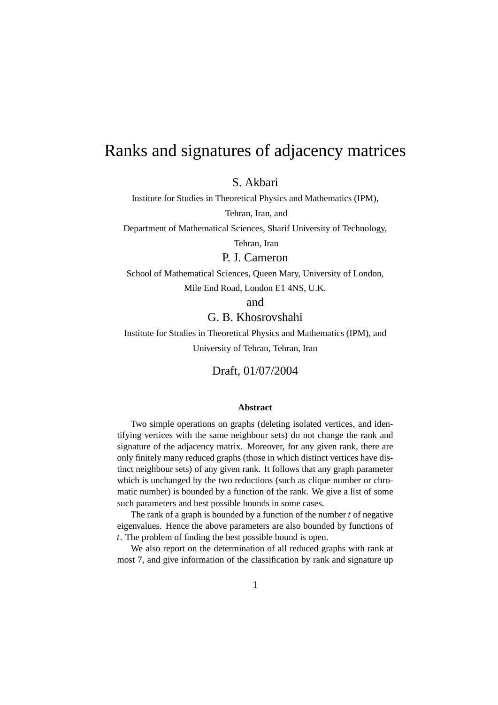# Ranks and signatures of adjacency matrices

S. Akbari

Institute for Studies in Theoretical Physics and Mathematics (IPM),

Tehran, Iran, and

Department of Mathematical Sciences, Sharif University of Technology,

Tehran, Iran

P. J. Cameron

School of Mathematical Sciences, Queen Mary, University of London,

Mile End Road, London E1 4NS, U.K.

and

#### G. B. Khosrovshahi

Institute for Studies in Theoretical Physics and Mathematics (IPM), and University of Tehran, Tehran, Iran

#### Draft, 01/07/2004

#### **Abstract**

Two simple operations on graphs (deleting isolated vertices, and identifying vertices with the same neighbour sets) do not change the rank and signature of the adjacency matrix. Moreover, for any given rank, there are only finitely many reduced graphs (those in which distinct vertices have distinct neighbour sets) of any given rank. It follows that any graph parameter which is unchanged by the two reductions (such as clique number or chromatic number) is bounded by a function of the rank. We give a list of some such parameters and best possible bounds in some cases.

The rank of a graph is bounded by a function of the number *t* of negative eigenvalues. Hence the above parameters are also bounded by functions of *t*. The problem of finding the best possible bound is open.

We also report on the determination of all reduced graphs with rank at most 7, and give information of the classification by rank and signature up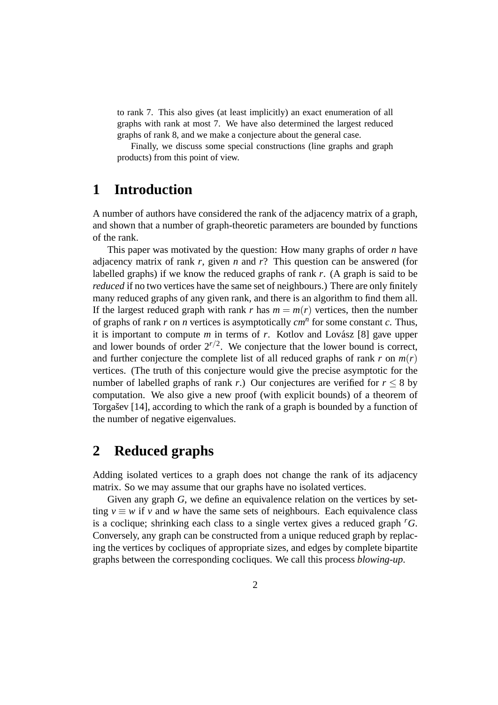to rank 7. This also gives (at least implicitly) an exact enumeration of all graphs with rank at most 7. We have also determined the largest reduced graphs of rank 8, and we make a conjecture about the general case.

Finally, we discuss some special constructions (line graphs and graph products) from this point of view.

## **1 Introduction**

A number of authors have considered the rank of the adjacency matrix of a graph, and shown that a number of graph-theoretic parameters are bounded by functions of the rank.

This paper was motivated by the question: How many graphs of order *n* have adjacency matrix of rank *r*, given *n* and *r*? This question can be answered (for labelled graphs) if we know the reduced graphs of rank *r*. (A graph is said to be *reduced* if no two vertices have the same set of neighbours.) There are only finitely many reduced graphs of any given rank, and there is an algorithm to find them all. If the largest reduced graph with rank *r* has  $m = m(r)$  vertices, then the number of graphs of rank *r* on *n* vertices is asymptotically *cm<sup>n</sup>* for some constant *c*. Thus, it is important to compute  $m$  in terms of  $r$ . Kotlov and Lovász [8] gave upper and lower bounds of order  $2^{r/2}$ . We conjecture that the lower bound is correct, and further conjecture the complete list of all reduced graphs of rank  $r$  on  $m(r)$ vertices. (The truth of this conjecture would give the precise asymptotic for the number of labelled graphs of rank *r*.) Our conjectures are verified for  $r \leq 8$  by computation. We also give a new proof (with explicit bounds) of a theorem of Torgasev  $[14]$ , according to which the rank of a graph is bounded by a function of the number of negative eigenvalues.

### **2 Reduced graphs**

Adding isolated vertices to a graph does not change the rank of its adjacency matrix. So we may assume that our graphs have no isolated vertices.

Given any graph *G*, we define an equivalence relation on the vertices by setting  $v \equiv w$  if *v* and *w* have the same sets of neighbours. Each equivalence class is a coclique; shrinking each class to a single vertex gives a reduced graph *<sup>r</sup>G*. Conversely, any graph can be constructed from a unique reduced graph by replacing the vertices by cocliques of appropriate sizes, and edges by complete bipartite graphs between the corresponding cocliques. We call this process *blowing-up*.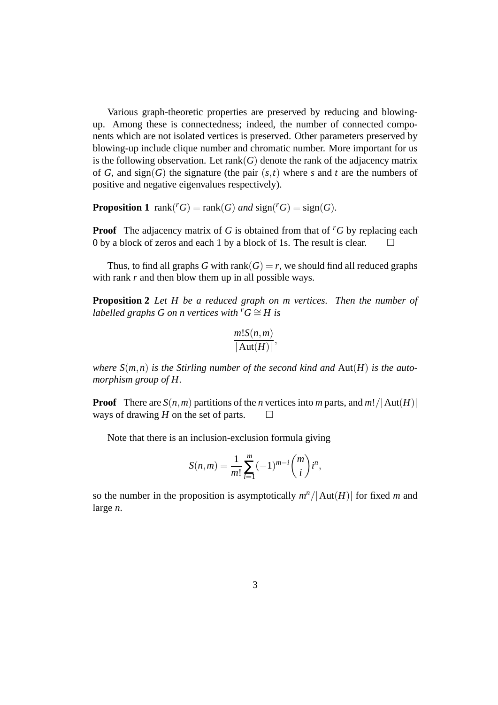Various graph-theoretic properties are preserved by reducing and blowingup. Among these is connectedness; indeed, the number of connected components which are not isolated vertices is preserved. Other parameters preserved by blowing-up include clique number and chromatic number. More important for us is the following observation. Let  $rank(G)$  denote the rank of the adjacency matrix of *G*, and sign(*G*) the signature (the pair  $(s,t)$  where *s* and *t* are the numbers of positive and negative eigenvalues respectively).

**Proposition 1** rank( ${}^rG$ ) = rank( $G$ ) *and* sign( ${}^rG$ ) = sign( $G$ ).

**Proof** The adjacency matrix of *G* is obtained from that of <sup>*r*</sup>*G* by replacing each 0 by a block of zeros and each 1 by a block of 1s. The result is clear.  $\Box$ 

Thus, to find all graphs *G* with rank(*G*) = *r*, we should find all reduced graphs with rank *r* and then blow them up in all possible ways.

**Proposition 2** *Let H be a reduced graph on m vertices. Then the number of labelled graphs G on n vertices with*  $^rG \cong H$  *is* 

$$
\frac{m!S(n,m)}{|\operatorname{Aut}(H)|},
$$

*where*  $S(m, n)$  *is the Stirling number of the second kind and*  $Aut(H)$  *is the automorphism group of H.*

**Proof** There are  $S(n,m)$  partitions of the *n* vertices into *m* parts, and  $m! / |\text{Aut}(H)|$ ways of drawing *H* on the set of parts.  $\Box$ 

Note that there is an inclusion-exclusion formula giving

$$
S(n,m) = \frac{1}{m!} \sum_{i=1}^{m} (-1)^{m-i} \binom{m}{i} i^n,
$$

so the number in the proposition is asymptotically  $m^n/|\text{Aut}(H)|$  for fixed *m* and large *n*.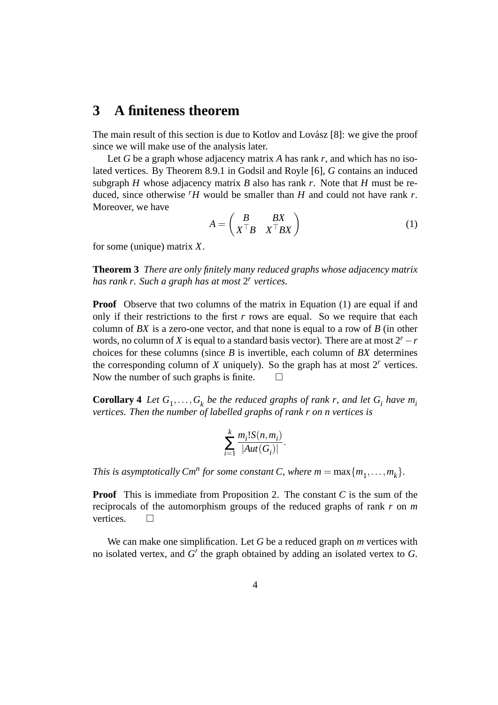### **3 A finiteness theorem**

The main result of this section is due to Kotlov and Lovász [8]: we give the proof since we will make use of the analysis later.

Let *G* be a graph whose adjacency matrix *A* has rank *r*, and which has no isolated vertices. By Theorem 8.9.1 in Godsil and Royle [6], *G* contains an induced subgraph *H* whose adjacency matrix *B* also has rank *r*. Note that *H* must be reduced, since otherwise  $\mu$  would be smaller than *H* and could not have rank *r*. Moreover, we have

$$
A = \begin{pmatrix} B & BX \\ X^\top B & X^\top B X \end{pmatrix} \tag{1}
$$

for some (unique) matrix *X*.

**Theorem 3** *There are only finitely many reduced graphs whose adjacency matrix has rank r. Such a graph has at most* 2 *r vertices.*

**Proof** Observe that two columns of the matrix in Equation (1) are equal if and only if their restrictions to the first  $r$  rows are equal. So we require that each column of *BX* is a zero-one vector, and that none is equal to a row of *B* (in other words, no column of *X* is equal to a standard basis vector). There are at most  $2^r - r$ choices for these columns (since *B* is invertible, each column of *BX* determines the corresponding column of  $X$  uniquely). So the graph has at most  $2<sup>r</sup>$  vertices. Now the number of such graphs is finite.  $\Box$ 

**Corollary 4** Let  $G_1, \ldots, G_k$  be the reduced graphs of rank r, and let  $G_i$  have  $m_i$ *vertices. Then the number of labelled graphs of rank r on n vertices is*

$$
\sum_{i=1}^k \frac{m_i! S(n, m_i)}{|Aut(G_i)|}.
$$

*This is asymptotically*  $Cm^n$  *for some constant C, where*  $m = \max\{m_1, \ldots, m_k\}$ *.* 

**Proof** This is immediate from Proposition 2. The constant *C* is the sum of the reciprocals of the automorphism groups of the reduced graphs of rank *r* on *m* vertices.  $\Box$ 

We can make one simplification. Let *G* be a reduced graph on *m* vertices with no isolated vertex, and  $G'$  the graph obtained by adding an isolated vertex to  $G$ .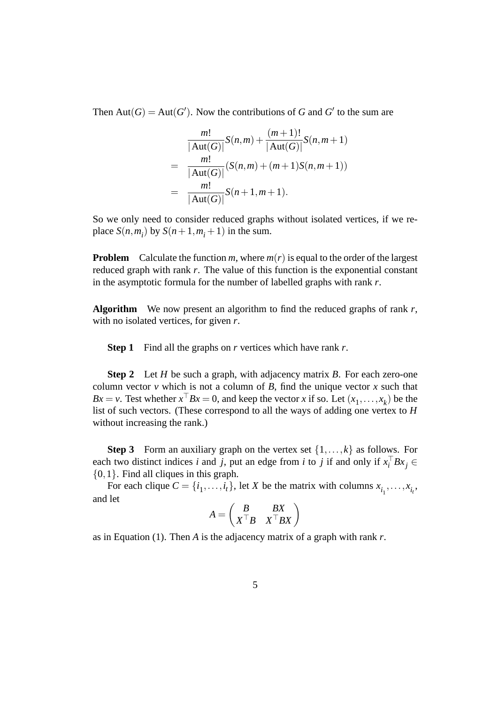Then  $Aut(G) = Aut(G')$ . Now the contributions of *G* and *G*<sup> $\prime$ </sup> to the sum are

$$
\frac{m!}{|\text{Aut}(G)|}S(n,m) + \frac{(m+1)!}{|\text{Aut}(G)|}S(n,m+1)
$$
  
= 
$$
\frac{m!}{|\text{Aut}(G)|}(S(n,m) + (m+1)S(n,m+1))
$$
  
= 
$$
\frac{m!}{|\text{Aut}(G)|}S(n+1,m+1).
$$

So we only need to consider reduced graphs without isolated vertices, if we replace  $S(n, m_i)$  by  $S(n+1, m_i+1)$  in the sum.

**Problem** Calculate the function *m*, where  $m(r)$  is equal to the order of the largest reduced graph with rank *r*. The value of this function is the exponential constant in the asymptotic formula for the number of labelled graphs with rank *r*.

**Algorithm** We now present an algorithm to find the reduced graphs of rank *r*, with no isolated vertices, for given *r*.

**Step 1** Find all the graphs on *r* vertices which have rank *r*.

**Step 2** Let *H* be such a graph, with adjacency matrix *B*. For each zero-one column vector  $\nu$  which is not a column of  $B$ , find the unique vector  $x$  such that *Bx* = *v*. Test whether  $x^{\top}Bx = 0$ , and keep the vector *x* if so. Let  $(x_1, \ldots, x_k)$  be the list of such vectors. (These correspond to all the ways of adding one vertex to *H* without increasing the rank.)

**Step 3** Form an auxiliary graph on the vertex set  $\{1, \ldots, k\}$  as follows. For each two distinct indices *i* and *j*, put an edge from *i* to *j* if and only if  $x_i^\top B x_j \in$ {0,1}. Find all cliques in this graph.

For each clique  $C = \{i_1, \ldots, i_t\}$ , let *X* be the matrix with columns  $x_{i_1}, \ldots, x_{i_t}$ , and let

$$
A = \begin{pmatrix} B & BX \\ X^\top B & X^\top B X \end{pmatrix}
$$

as in Equation (1). Then *A* is the adjacency matrix of a graph with rank *r*.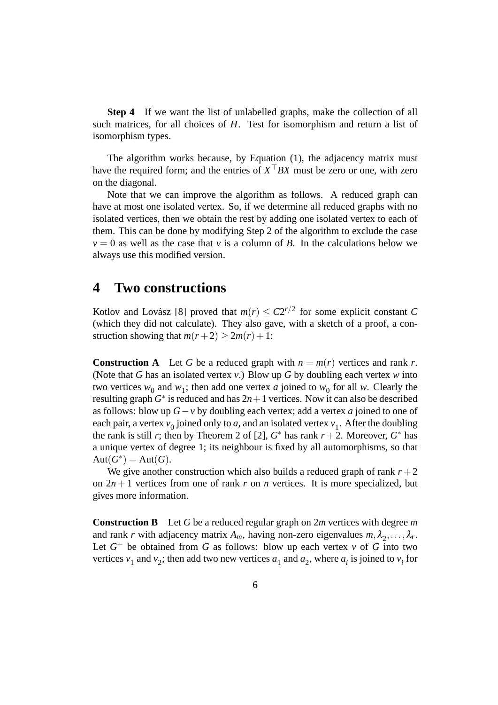**Step 4** If we want the list of unlabelled graphs, make the collection of all such matrices, for all choices of *H*. Test for isomorphism and return a list of isomorphism types.

The algorithm works because, by Equation (1), the adjacency matrix must have the required form; and the entries of  $X<sup>T</sup> BX$  must be zero or one, with zero on the diagonal.

Note that we can improve the algorithm as follows. A reduced graph can have at most one isolated vertex. So, if we determine all reduced graphs with no isolated vertices, then we obtain the rest by adding one isolated vertex to each of them. This can be done by modifying Step 2 of the algorithm to exclude the case  $v = 0$  as well as the case that *v* is a column of *B*. In the calculations below we always use this modified version.

#### **4 Two constructions**

Kotlov and Lovász [8] proved that  $m(r) \leq C2^{r/2}$  for some explicit constant *C* (which they did not calculate). They also gave, with a sketch of a proof, a construction showing that  $m(r+2) > 2m(r) + 1$ :

**Construction A** Let *G* be a reduced graph with  $n = m(r)$  vertices and rank *r*. (Note that *G* has an isolated vertex *v*.) Blow up *G* by doubling each vertex *w* into two vertices  $w_0$  and  $w_1$ ; then add one vertex *a* joined to  $w_0$  for all *w*. Clearly the resulting graph  $G^*$  is reduced and has  $2n+1$  vertices. Now it can also be described as follows: blow up *G*−*v* by doubling each vertex; add a vertex *a* joined to one of each pair, a vertex  $v_0$  joined only to *a*, and an isolated vertex  $v_1$ . After the doubling the rank is still *r*; then by Theorem 2 of [2],  $G^*$  has rank  $r + 2$ . Moreover,  $G^*$  has a unique vertex of degree 1; its neighbour is fixed by all automorphisms, so that  $Aut(G^*) = Aut(G).$ 

We give another construction which also builds a reduced graph of rank  $r + 2$ on  $2n + 1$  vertices from one of rank r on *n* vertices. It is more specialized, but gives more information.

**Construction B** Let *G* be a reduced regular graph on 2*m* vertices with degree *m* and rank *r* with adjacency matrix  $A_m$ , having non-zero eigenvalues  $m, \lambda_2, ..., \lambda_r$ . Let  $G^+$  be obtained from  $G$  as follows: blow up each vertex  $v$  of  $G$  into two vertices  $v_1$  and  $v_2$ ; then add two new vertices  $a_1$  and  $a_2$ , where  $a_i$  is joined to  $v_i$  for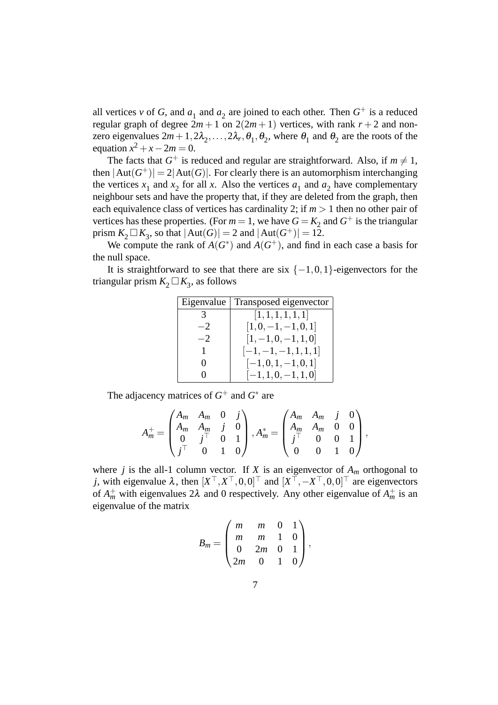all vertices *v* of *G*, and  $a_1$  and  $a_2$  are joined to each other. Then  $G^+$  is a reduced regular graph of degree  $2m + 1$  on  $2(2m + 1)$  vertices, with rank  $r + 2$  and nonzero eigenvalues  $2m+1, 2\lambda_2, ..., 2\lambda_r, \theta_1, \theta_2$ , where  $\theta_1$  and  $\theta_2$  are the roots of the equation  $x^2 + x - 2m = 0$ .

The facts that  $G^+$  is reduced and regular are straightforward. Also, if  $m \neq 1$ , then  $|\text{Aut}(G^+)| = 2|\text{Aut}(G)|$ . For clearly there is an automorphism interchanging the vertices  $x_1$  and  $x_2$  for all *x*. Also the vertices  $a_1$  and  $a_2$  have complementary neighbour sets and have the property that, if they are deleted from the graph, then each equivalence class of vertices has cardinality 2; if  $m > 1$  then no other pair of vertices has these properties. (For  $m = 1$ , we have  $G = K_2$  and  $G^+$  is the triangular prism  $K_2 \square K_3$ , so that  $|\text{Aut}(G)| = 2$  and  $|\text{Aut}(G^+)| = 12$ .

We compute the rank of  $\overrightarrow{A}(G^*)$  and  $\overrightarrow{A}(G^+)$ , and find in each case a basis for the null space.

It is straightforward to see that there are six  $\{-1,0,1\}$ -eigenvectors for the triangular prism  $K_2 \square K_3$ , as follows

| Eigenvalue        | Transposed eigenvector |
|-------------------|------------------------|
|                   | [1,1,1,1,1,1]          |
| $-2$              | $[1,0,-1,-1,0,1]$      |
| $-2$              | $[1, -1, 0, -1, 1, 0]$ |
| 1                 | $[-1,-1,-1,1,1,1]$     |
| $\theta$          | $[-1,0,1,-1,0,1]$      |
| $\mathbf{\Omega}$ | $[-1, 1, 0, -1, 1, 0]$ |

The adjacency matrices of  $G^+$  and  $G^*$  are

$$
A_m^+ = \begin{pmatrix} A_m & A_m & 0 & j \\ A_m & A_m & j & 0 \\ 0 & j^\top & 0 & 1 \\ j^\top & 0 & 1 & 0 \end{pmatrix}, A_m^* = \begin{pmatrix} A_m & A_m & j & 0 \\ A_m & A_m & 0 & 0 \\ j^\top & 0 & 0 & 1 \\ 0 & 0 & 1 & 0 \end{pmatrix},
$$

where *j* is the all-1 column vector. If *X* is an eigenvector of  $A_m$  orthogonal to *j*, with eigenvalue  $\lambda$ , then  $[X^{\top}, X^{\top}, 0, 0]^{\top}$  and  $[X^{\top}, -X^{\top}, 0, 0]^{\top}$  are eigenvectors of  $A_m^+$  with eigenvalues  $2\lambda$  and 0 respectively. Any other eigenvalue of  $A_m^+$  is an eigenvalue of the matrix

$$
B_m = \begin{pmatrix} m & m & 0 & 1 \\ m & m & 1 & 0 \\ 0 & 2m & 0 & 1 \\ 2m & 0 & 1 & 0 \end{pmatrix},
$$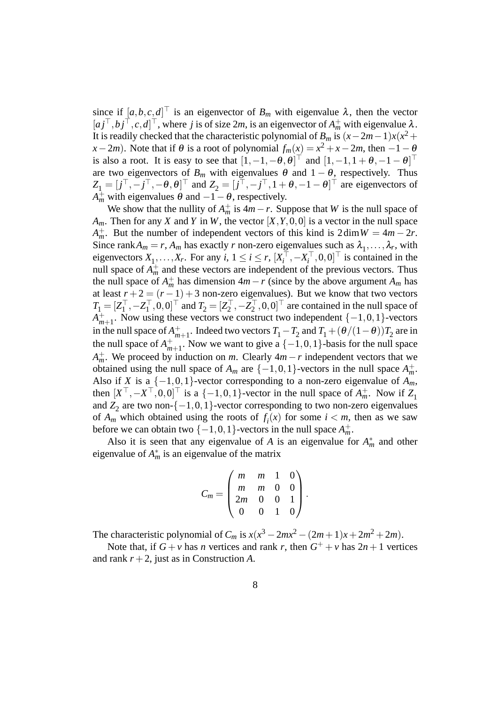since if  $[a, b, c, d]^\top$  is an eigenvector of  $B_m$  with eigenvalue  $\lambda$ , then the vector  $[a_j^\top, b_j^\top, c, d]^\top$ , where *j* is of size 2*m*, is an eigenvector of  $A_m^+$  with eigenvalue  $\lambda$ . It is readily checked that the characteristic polynomial of *B<sub>m</sub>* is  $(x-2m-1)x(x^2+$ *x*−2*m*). Note that if  $\theta$  is a root of polynomial  $f_m(x) = x^2 + x - 2m$ , then  $-1 - \theta$ is also a root. It is easy to see that  $\begin{bmatrix} 1 & -1 & -\theta & \theta \end{bmatrix}^\top$  and  $\begin{bmatrix} 1 & -1 & 1+\theta & -1-\theta \end{bmatrix}^\top$ are two eigenvectors of  $B_m$  with eigenvalues  $\theta$  and  $1 - \theta$ , respectively. Thus  $Z_1 = [j^\top, -j^\top, -\theta, \theta]^\top$  and  $Z_2 = [j^\top, -j^\top, 1 + \theta, -1 - \theta]^\top$  are eigenvectors of  $A_m^+$  with eigenvalues  $\theta$  and  $-I - \theta$ , respectively.

We show that the nullity of  $A_m^+$  is  $4m-r$ . Suppose that *W* is the null space of *Am*. Then for any *X* and *Y* in *W*, the vector [*X*,*Y*,0,0] is a vector in the null space *A*<sup> $+$ </sup><sub>*m*</sub>. But the number of independent vectors of this kind is  $2 \dim W = 4m - 2r$ . Since rank $A_m = r$ ,  $A_m$  has exactly *r* non-zero eigenvalues such as  $\lambda_1, \ldots, \lambda_r$ , with eigenvectors  $X_1, \ldots, X_r$ . For any  $i, 1 \le i \le r$ ,  $[X_i^\top]$  $\sum_{i}$ <sup> $\uparrow$ </sup>, −*X*<sub>*i*</sub><sup> $\uparrow$ </sup>  $\hat{i}^\top, 0, 0]^\top$  is contained in the null space of  $A_m^+$  and these vectors are independent of the previous vectors. Thus the null space of  $A_m^+$  has dimension  $4m - r$  (since by the above argument  $A_m$  has at least  $r + 2 = (r - 1) + 3$  non-zero eigenvalues). But we know that two vectors  $T_1 = [Z_1^{\top}$  $\mathbf{z}_1^\top, -\mathbf{Z}_1^\top$  $[T_1^{\top}, 0, 0]^{\top}$  and  $T_2 = [Z_2^{\top}]$  $z_2^{\top}, -\breve{Z}_2^{\top}$  $\tilde{Z}_2^{\top}, 0, 0]^{\top}$  are contained in the null space of  $\overline{A}^+_{m}$ <sup>+</sup><sub>*m*+1</sub>. Now using these vectors we construct two independent {−1,0,1}-vectors</sub> in the null space of  $A_m^+$ <sup>+</sup><sub>*m*+1</sub>. Indeed two vectors  $T_1 - T_2$  and  $T_1 + (\theta/(1-\theta))T_2$  are in the null space of  $A_m^+$  $_{m+1}^+$ . Now we want to give a  $\{-1,0,1\}$ -basis for the null space  $A_m^+$ . We proceed by induction on *m*. Clearly  $4m-r$  independent vectors that we obtained using the null space of  $A_m$  are  $\{-1,0,1\}$ -vectors in the null space  $A_m^+$ . Also if *X* is a  $\{-1,0,1\}$ -vector corresponding to a non-zero eigenvalue of  $A_m$ , then  $[X^{\top}, -X^{\top}, 0, 0]^{\top}$  is a  $\{-1, 0, 1\}$ -vector in the null space of  $A_m^+$ . Now if  $Z_1$ and  $Z_2$  are two non-{ $-1,0,1$ }-vector corresponding to two non-zero eigenvalues of  $A_m$  which obtained using the roots of  $f_i(x)$  for some  $i < m$ , then as we saw before we can obtain two  $\{-1,0,1\}$ -vectors in the null space  $A_m^+$ .

Also it is seen that any eigenvalue of *A* is an eigenvalue for  $A_m^*$  and other eigenvalue of  $A_m^*$  is an eigenvalue of the matrix

$$
C_m = \begin{pmatrix} m & m & 1 & 0 \\ m & m & 0 & 0 \\ 2m & 0 & 0 & 1 \\ 0 & 0 & 1 & 0 \end{pmatrix}.
$$

The characteristic polynomial of  $C_m$  is  $x(x^3 - 2mx^2 - (2m+1)x + 2m^2 + 2m)$ .

Note that, if  $G + v$  has *n* vertices and rank *r*, then  $G^+ + v$  has  $2n + 1$  vertices and rank  $r + 2$ , just as in Construction *A*.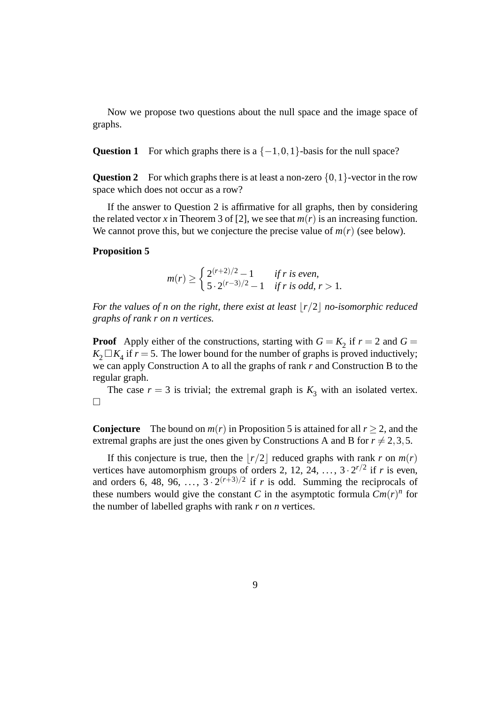Now we propose two questions about the null space and the image space of graphs.

**Question 1** For which graphs there is a  $\{-1,0,1\}$ -basis for the null space?

**Question 2** For which graphs there is at least a non-zero  $\{0,1\}$ -vector in the row space which does not occur as a row?

If the answer to Question 2 is affirmative for all graphs, then by considering the related vector x in Theorem 3 of [2], we see that  $m(r)$  is an increasing function. We cannot prove this, but we conjecture the precise value of  $m(r)$  (see below).

#### **Proposition 5**

$$
m(r) \ge \begin{cases} 2^{(r+2)/2} - 1 & \text{if } r \text{ is even,} \\ 5 \cdot 2^{(r-3)/2} - 1 & \text{if } r \text{ is odd, } r > 1. \end{cases}
$$

*For the values of n on the right, there exist at least*  $|r/2|$  *no-isomorphic reduced graphs of rank r on n vertices.*

**Proof** Apply either of the constructions, starting with  $G = K_2$  if  $r = 2$  and  $G =$  $K_2 \square K_4$  if  $r = 5$ . The lower bound for the number of graphs is proved inductively; we can apply Construction A to all the graphs of rank *r* and Construction B to the regular graph.

The case  $r = 3$  is trivial; the extremal graph is  $K_3$  with an isolated vertex.  $\Box$ 

**Conjecture** The bound on  $m(r)$  in Proposition 5 is attained for all  $r > 2$ , and the extremal graphs are just the ones given by Constructions A and B for  $r \neq 2,3,5$ .

If this conjecture is true, then the  $\lfloor r/2 \rfloor$  reduced graphs with rank *r* on  $m(r)$ vertices have automorphism groups of orders 2, 12, 24, ...,  $3 \cdot 2^{r/2}$  if *r* is even, and orders 6, 48, 96,  $\ldots$ ,  $3 \cdot 2^{(r+3)/2}$  if *r* is odd. Summing the reciprocals of these numbers would give the constant *C* in the asymptotic formula  $Cm(r)^n$  for the number of labelled graphs with rank *r* on *n* vertices.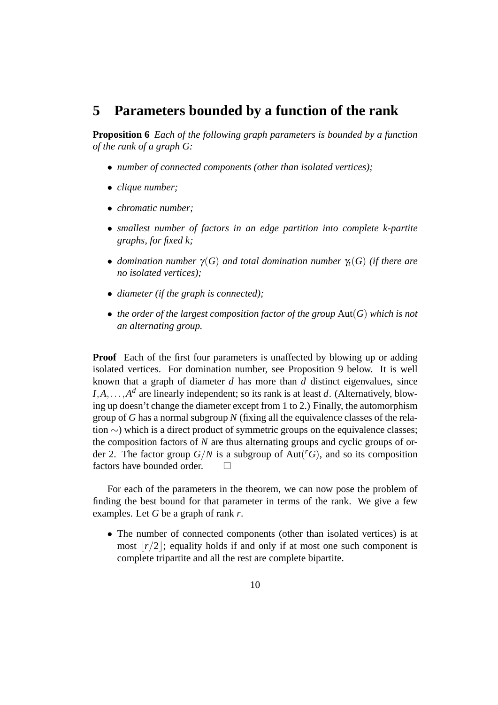### **5 Parameters bounded by a function of the rank**

**Proposition 6** *Each of the following graph parameters is bounded by a function of the rank of a graph G:*

- *number of connected components (other than isolated vertices);*
- *clique number;*
- *chromatic number;*
- *smallest number of factors in an edge partition into complete k-partite graphs, for fixed k;*
- *domination number* γ(*G*) *and total domination number* γ*<sup>t</sup>* (*G*) *(if there are no isolated vertices);*
- *diameter (if the graph is connected);*
- *the order of the largest composition factor of the group* Aut(*G*) *which is not an alternating group.*

**Proof** Each of the first four parameters is unaffected by blowing up or adding isolated vertices. For domination number, see Proposition 9 below. It is well known that a graph of diameter *d* has more than *d* distinct eigenvalues, since  $I, A, \ldots, A^d$  are linearly independent; so its rank is at least *d*. (Alternatively, blowing up doesn't change the diameter except from 1 to 2.) Finally, the automorphism group of *G* has a normal subgroup *N* (fixing all the equivalence classes of the relation ∼) which is a direct product of symmetric groups on the equivalence classes; the composition factors of *N* are thus alternating groups and cyclic groups of order 2. The factor group  $G/N$  is a subgroup of  $Aut({}^r G)$ , and so its composition factors have bounded order. □

For each of the parameters in the theorem, we can now pose the problem of finding the best bound for that parameter in terms of the rank. We give a few examples. Let *G* be a graph of rank *r*.

• The number of connected components (other than isolated vertices) is at most  $|r/2|$ ; equality holds if and only if at most one such component is complete tripartite and all the rest are complete bipartite.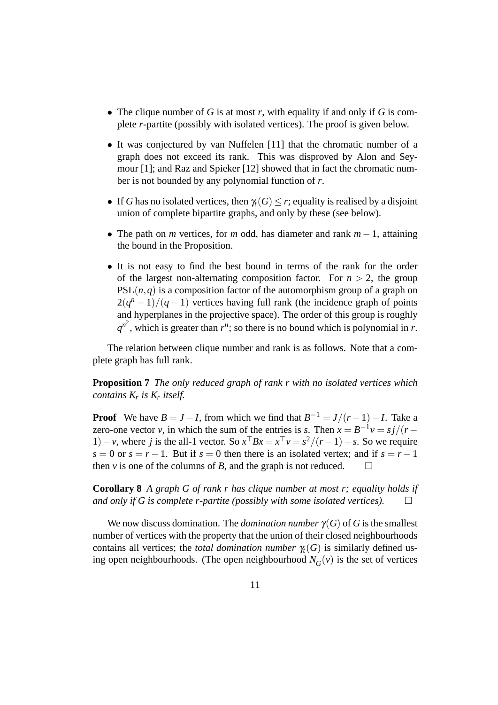- The clique number of *G* is at most *r*, with equality if and only if *G* is complete *r*-partite (possibly with isolated vertices). The proof is given below.
- It was conjectured by van Nuffelen [11] that the chromatic number of a graph does not exceed its rank. This was disproved by Alon and Seymour [1]; and Raz and Spieker [12] showed that in fact the chromatic number is not bounded by any polynomial function of *r*.
- If *G* has no isolated vertices, then  $\gamma_t(G) \leq r$ ; equality is realised by a disjoint union of complete bipartite graphs, and only by these (see below).
- The path on *m* vertices, for *m* odd, has diameter and rank *m* − 1, attaining the bound in the Proposition.
- It is not easy to find the best bound in terms of the rank for the order of the largest non-alternating composition factor. For  $n > 2$ , the group  $PSL(n, q)$  is a composition factor of the automorphism group of a graph on  $2(q<sup>n</sup> - 1)/(q - 1)$  vertices having full rank (the incidence graph of points and hyperplanes in the projective space). The order of this group is roughly  $q^{n^2}$ , which is greater than  $r^n$ ; so there is no bound which is polynomial in *r*.

The relation between clique number and rank is as follows. Note that a complete graph has full rank.

**Proposition 7** *The only reduced graph of rank r with no isolated vertices which contains K<sup>r</sup> is K<sup>r</sup> itself.*

**Proof** We have  $B = J - I$ , from which we find that  $B^{-1} = J/(r - 1) - I$ . Take a zero-one vector *v*, in which the sum of the entries is *s*. Then  $\hat{x} = B^{-1}v = s\hat{j}/(r - \hat{k})$ 1) – *v*, where *j* is the all-1 vector. So  $x^{\top}Bx = x^{\top}v = s^2/(r-1) - s$ . So we require  $s = 0$  or  $s = r - 1$ . But if  $s = 0$  then there is an isolated vertex; and if  $s = r - 1$ then *v* is one of the columns of *B*, and the graph is not reduced.  $\square$ 

**Corollary 8** *A graph G of rank r has clique number at most r; equality holds if and only if G is complete r-partite (possibly with some isolated vertices).*

We now discuss domination. The *domination number*  $\gamma(G)$  of *G* is the smallest number of vertices with the property that the union of their closed neighbourhoods contains all vertices; the *total domination number*  $\gamma_t(G)$  is similarly defined using open neighbourhoods. (The open neighbourhood  $N_G(v)$  is the set of vertices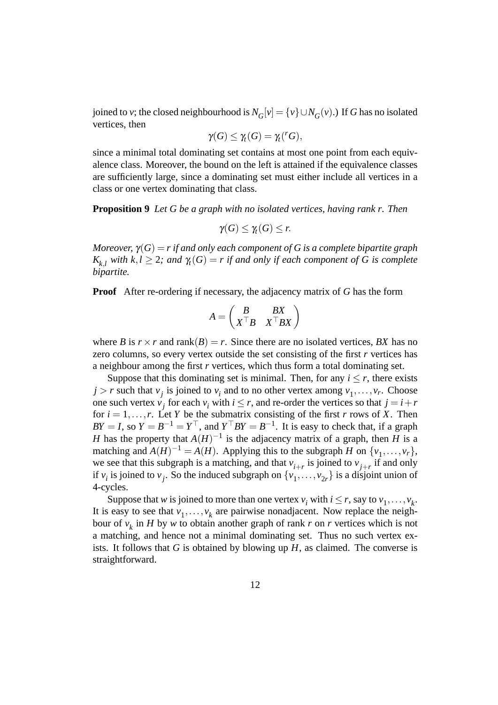joined to *v*; the closed neighbourhood is  $N_G[v] = \{v\} \cup N_G(v)$ .) If *G* has no isolated vertices, then

$$
\gamma(G) \leq \gamma_t(G) = \gamma_t({}^rG),
$$

since a minimal total dominating set contains at most one point from each equivalence class. Moreover, the bound on the left is attained if the equivalence classes are sufficiently large, since a dominating set must either include all vertices in a class or one vertex dominating that class.

**Proposition 9** *Let G be a graph with no isolated vertices, having rank r. Then*

$$
\gamma(G)\leq \gamma_t(G)\leq r.
$$

*Moreover,*  $\gamma(G) = r$  *if and only each component of G is a complete bipartite graph*  $K_{k,l}$  *with*  $k,l \geq 2$ *; and*  $\gamma_l(G) = r$  *if and only if each component of* G is complete *bipartite.*

**Proof** After re-ordering if necessary, the adjacency matrix of *G* has the form

$$
A = \begin{pmatrix} B & BX \\ X^\top B & X^\top BX \end{pmatrix}
$$

where *B* is  $r \times r$  and rank(*B*) = *r*. Since there are no isolated vertices, *BX* has no zero columns, so every vertex outside the set consisting of the first *r* vertices has a neighbour among the first *r* vertices, which thus form a total dominating set.

Suppose that this dominating set is minimal. Then, for any  $i \leq r$ , there exists  $j > r$  such that  $v_j$  is joined to  $v_i$  and to no other vertex among  $v_1, \ldots, v_r$ . Choose one such vertex  $v_j$  for each  $v_i$  with  $i \leq r$ , and re-order the vertices so that  $j = i + r$ for  $i = 1, \ldots, r$ . Let *Y* be the submatrix consisting of the first *r* rows of *X*. Then  $BY = I$ , so  $Y = B^{-1} = Y^{\top}$ , and  $Y^{\top}BY = B^{-1}$ . It is easy to check that, if a graph *H* has the property that  $A(H)^{-1}$  is the adjacency matrix of a graph, then *H* is a matching and  $A(H)^{-1} = A(H)$ . Applying this to the subgraph *H* on  $\{v_1, \ldots, v_r\}$ , we see that this subgraph is a matching, and that  $v_{i+r}$  is joined to  $v_{j+r}$  if and only if  $v_i$  is joined to  $v_j$ . So the induced subgraph on  $\{v_1, \ldots, v_{2r}\}$  is a disjoint union of 4-cycles.

Suppose that *w* is joined to more than one vertex  $v_i$  with  $i \le r$ , say to  $v_1, \ldots, v_k$ . It is easy to see that  $v_1, \ldots, v_k$  are pairwise nonadjacent. Now replace the neighbour of *v<sup>k</sup>* in *H* by *w* to obtain another graph of rank *r* on *r* vertices which is not a matching, and hence not a minimal dominating set. Thus no such vertex exists. It follows that *G* is obtained by blowing up *H*, as claimed. The converse is straightforward.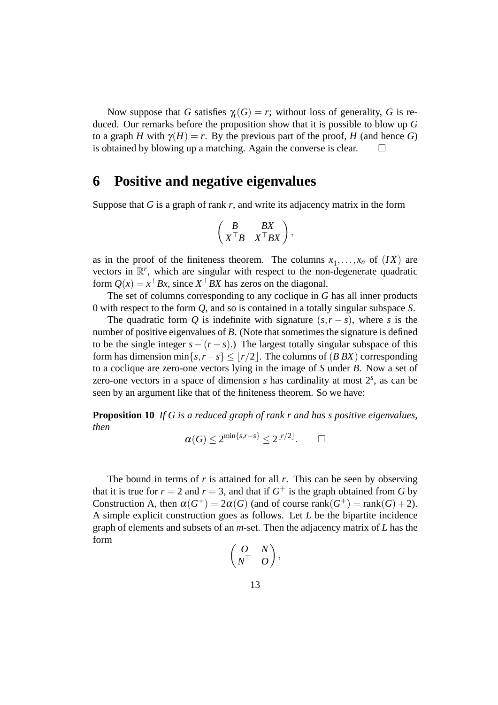Now suppose that *G* satisfies  $\gamma_t(G) = r$ ; without loss of generality, *G* is reduced. Our remarks before the proposition show that it is possible to blow up *G* to a graph *H* with  $\gamma(H) = r$ . By the previous part of the proof, *H* (and hence *G*) is obtained by blowing up a matching. Again the converse is clear.  $\Box$ 

### **6 Positive and negative eigenvalues**

Suppose that *G* is a graph of rank *r*, and write its adjacency matrix in the form

$$
\begin{pmatrix} B & BX \\ X^\top B & X^\top BX \end{pmatrix},
$$

as in the proof of the finiteness theorem. The columns  $x_1, \ldots, x_n$  of  $(IX)$  are vectors in  $\mathbb{R}^r$ , which are singular with respect to the non-degenerate quadratic form  $Q(x) = x^{\top}Bx$ , since  $X^{\top}BX$  has zeros on the diagonal.

The set of columns corresponding to any coclique in *G* has all inner products 0 with respect to the form *Q*, and so is contained in a totally singular subspace *S*.

The quadratic form *Q* is indefinite with signature  $(s, r - s)$ , where *s* is the number of positive eigenvalues of *B*. (Note that sometimes the signature is defined to be the single integer  $s - (r - s)$ .) The largest totally singular subspace of this form has dimension min $\{s, r - s\} \le |r/2|$ . The columns of (*B BX*) corresponding to a coclique are zero-one vectors lying in the image of *S* under *B*. Now a set of zero-one vectors in a space of dimension  $s$  has cardinality at most  $2<sup>s</sup>$ , as can be seen by an argument like that of the finiteness theorem. So we have:

**Proposition 10** *If G is a reduced graph of rank r and has s positive eigenvalues, then*

$$
\alpha(G) \le 2^{\min\{s,r-s\}} \le 2^{\lfloor r/2 \rfloor}.\qquad \square
$$

The bound in terms of *r* is attained for all *r*. This can be seen by observing that it is true for  $r = 2$  and  $r = 3$ , and that if  $G^+$  is the graph obtained from G by Construction A, then  $\alpha(G^+) = 2\alpha(G)$  (and of course rank $(G^+) = \text{rank}(G) + 2$ ). A simple explicit construction goes as follows. Let *L* be the bipartite incidence graph of elements and subsets of an *m*-set. Then the adjacency matrix of *L* has the form

$$
\begin{pmatrix} O & N \\ N^\top & O \end{pmatrix},
$$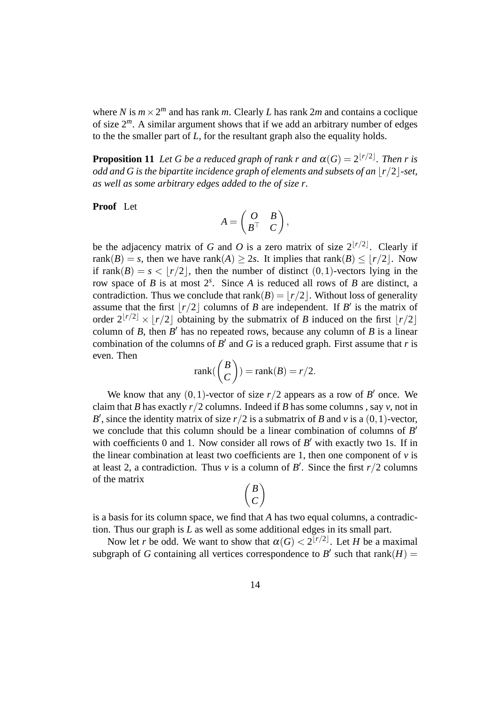where *N* is  $m \times 2^m$  and has rank *m*. Clearly *L* has rank 2*m* and contains a coclique of size 2*m*. A similar argument shows that if we add an arbitrary number of edges to the the smaller part of *L*, for the resultant graph also the equality holds.

**Proposition 11** Let G be a reduced graph of rank r and  $\alpha(G) = 2^{\lfloor r/2 \rfloor}$ . Then r is *odd and G is the bipartite incidence graph of elements and subsets of an*  $\lfloor r/2 \rfloor$ -set, *as well as some arbitrary edges added to the of size r.*

**Proof** Let

$$
A = \begin{pmatrix} O & B \\ B^\top & C \end{pmatrix},
$$

be the adjacency matrix of *G* and *O* is a zero matrix of size  $2^{r/2}$ . Clearly if rank(*B*) = *s*, then we have rank(*A*)  $\geq$  2*s*. It implies that rank(*B*)  $\leq$   $|r/2|$ . Now if rank $(B) = s < |r/2|$ , then the number of distinct  $(0,1)$ -vectors lying in the row space of *B* is at most 2*<sup>s</sup>* . Since *A* is reduced all rows of *B* are distinct, a contradiction. Thus we conclude that  $rank(B) = |r/2|$ . Without loss of generality assume that the first  $\lfloor r/2 \rfloor$  columns of *B* are independent. If *B'* is the matrix of order  $2^{r/2} \times r/2$  obtaining by the submatrix of *B* induced on the first  $r/2$ column of *B*, then  $B'$  has no repeated rows, because any column of *B* is a linear combination of the columns of  $\overline{B}'$  and  $\overline{G}$  is a reduced graph. First assume that  $r$  is even. Then

$$
rank(\binom{B}{C}) = rank(B) = r/2.
$$

We know that any  $(0,1)$ -vector of size  $r/2$  appears as a row of *B*<sup> $\prime$ </sup> once. We claim that *B* has exactly  $r/2$  columns. Indeed if *B* has some columns, say *v*, not in *B*<sup> $\prime$ </sup>, since the identity matrix of size *r*/2 is a submatrix of *B* and *v* is a (0,1)-vector, we conclude that this column should be a linear combination of columns of *B*<sup>*b*</sup> with coefficients 0 and 1. Now consider all rows of  $B'$  with exactly two 1s. If in the linear combination at least two coefficients are 1, then one component of  $\nu$  is at least 2, a contradiction. Thus *v* is a column of *B'*. Since the first  $r/2$  columns of the matrix

$$
\begin{pmatrix} B \\ C \end{pmatrix}
$$

is a basis for its column space, we find that *A* has two equal columns, a contradiction. Thus our graph is *L* as well as some additional edges in its small part.

Now let *r* be odd. We want to show that  $\alpha(G) < 2^{\lfloor r/2 \rfloor}$ . Let *H* be a maximal subgraph of *G* containing all vertices correspondence to *B'* such that  $rank(H)$  =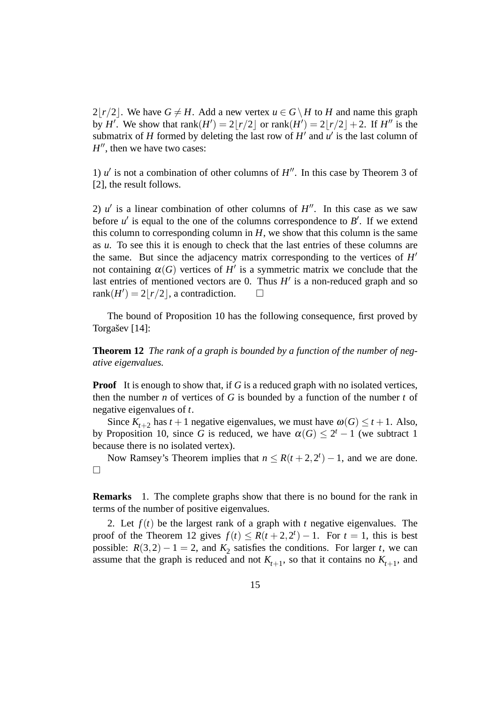$2|r/2|$ . We have  $G \neq H$ . Add a new vertex  $u \in G \setminus H$  to *H* and name this graph by *H'*. We show that rank $(H') = 2[r/2]$  or rank $(H') = 2[r/2]+2$ . If *H''* is the submatrix of *H* formed by deleting the last row of  $H'$  and  $\overline{u'}$  is the last column of  $H''$ , then we have two cases:

1)  $u'$  is not a combination of other columns of  $H''$ . In this case by Theorem 3 of [2], the result follows.

2)  $u'$  is a linear combination of other columns of  $H''$ . In this case as we saw before  $u'$  is equal to the one of the columns correspondence to  $B'$ . If we extend this column to corresponding column in  $H$ , we show that this column is the same as *u*. To see this it is enough to check that the last entries of these columns are the same. But since the adjacency matrix corresponding to the vertices of  $H'$ not containing  $\alpha(G)$  vertices of *H'* is a symmetric matrix we conclude that the last entries of mentioned vectors are 0. Thus  $H'$  is a non-reduced graph and so rank $(H') = 2|r/2|$ , a contradiction.  $\square$ 

The bound of Proposition 10 has the following consequence, first proved by Torgašev [14]:

**Theorem 12** *The rank of a graph is bounded by a function of the number of negative eigenvalues.*

**Proof** It is enough to show that, if *G* is a reduced graph with no isolated vertices, then the number *n* of vertices of *G* is bounded by a function of the number *t* of negative eigenvalues of *t*.

Since  $K_{t+2}$  has  $t+1$  negative eigenvalues, we must have  $\omega(G) \leq t+1$ . Also, by Proposition 10, since G is reduced, we have  $\alpha(G) \leq 2^t - 1$  (we subtract 1 because there is no isolated vertex).

Now Ramsey's Theorem implies that  $n \leq R(t+2, 2^t) - 1$ , and we are done.  $\Box$ 

**Remarks** 1. The complete graphs show that there is no bound for the rank in terms of the number of positive eigenvalues.

2. Let *f*(*t*) be the largest rank of a graph with *t* negative eigenvalues. The proof of the Theorem 12 gives  $f(t) \le R(t+2, 2^t) - 1$ . For  $t = 1$ , this is best possible:  $R(3,2) - 1 = 2$ , and  $K_2$  satisfies the conditions. For larger *t*, we can assume that the graph is reduced and not  $K_{t+1}$ , so that it contains no  $K_{t+1}$ , and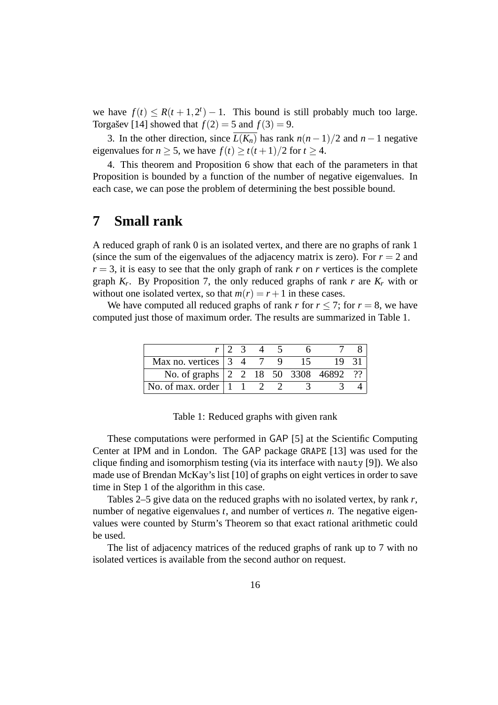we have  $f(t) \leq R(t+1, 2^t) - 1$ . This bound is still probably much too large. Torgasev [14] showed that  $f(2) = 5$  and  $f(3) = 9$ .

3. In the other direction, since  $\overline{L(K_n)}$  has rank  $n(n-1)/2$  and  $n-1$  negative eigenvalues for  $n > 5$ , we have  $f(t) > t(t+1)/2$  for  $t > 4$ .

4. This theorem and Proposition 6 show that each of the parameters in that Proposition is bounded by a function of the number of negative eigenvalues. In each case, we can pose the problem of determining the best possible bound.

### **7 Small rank**

A reduced graph of rank 0 is an isolated vertex, and there are no graphs of rank 1 (since the sum of the eigenvalues of the adjacency matrix is zero). For  $r = 2$  and  $r = 3$ , it is easy to see that the only graph of rank *r* on *r* vertices is the complete graph  $K_r$ . By Proposition 7, the only reduced graphs of rank *r* are  $K_r$  with or without one isolated vertex, so that  $m(r) = r + 1$  in these cases.

We have computed all reduced graphs of rank *r* for  $r \le 7$ ; for  $r = 8$ , we have computed just those of maximum order. The results are summarized in Table 1.

| Max no. vertices $\begin{vmatrix} 3 & 4 \end{vmatrix}$      |  |  |  |  |
|-------------------------------------------------------------|--|--|--|--|
| No. of graphs 2 2 18 50 3308 46892                          |  |  |  |  |
| No. of max. order $\begin{bmatrix} 1 & 1 & 2 \end{bmatrix}$ |  |  |  |  |

| Table 1: Reduced graphs with given rank |  |  |  |  |  |
|-----------------------------------------|--|--|--|--|--|
|-----------------------------------------|--|--|--|--|--|

These computations were performed in GAP [5] at the Scientific Computing Center at IPM and in London. The GAP package GRAPE [13] was used for the clique finding and isomorphism testing (via its interface with nauty [9]). We also made use of Brendan McKay's list [10] of graphs on eight vertices in order to save time in Step 1 of the algorithm in this case.

Tables 2–5 give data on the reduced graphs with no isolated vertex, by rank *r*, number of negative eigenvalues *t*, and number of vertices *n*. The negative eigenvalues were counted by Sturm's Theorem so that exact rational arithmetic could be used.

The list of adjacency matrices of the reduced graphs of rank up to 7 with no isolated vertices is available from the second author on request.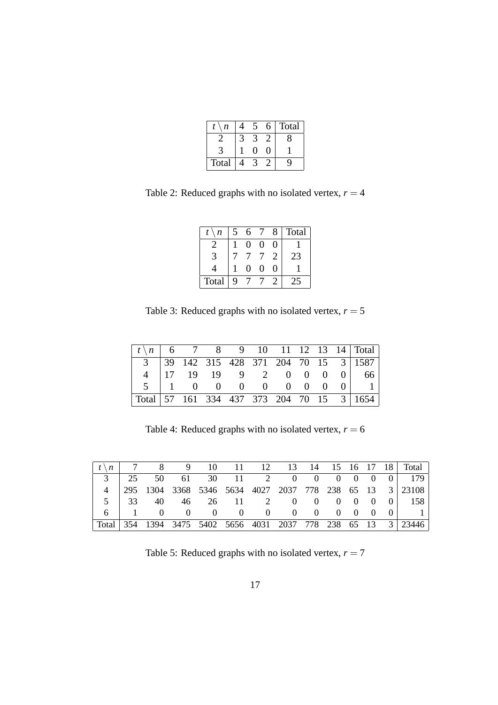| n     |  | h | Total |
|-------|--|---|-------|
|       |  |   |       |
|       |  | 1 |       |
| Total |  |   |       |

Table 2: Reduced graphs with no isolated vertex,  $r = 4$ 

| t<br>n | 5 | 6                 |   | 8 | Total |
|--------|---|-------------------|---|---|-------|
|        |   | $\theta$          | 0 | 0 |       |
|        |   |                   |   |   | 23    |
|        |   | $\mathbf{\Omega}$ | 0 | 0 |       |
| Total  | q |                   |   |   |       |

Table 3: Reduced graphs with no isolated vertex,  $r = 5$ 

| $\left  t \right  n \left  6 \right  7 \left  8 \right  9 \left  10 \right  11 \left  12 \left  13 \right  14 \right $ Total |  |  |  |  |                                         |
|------------------------------------------------------------------------------------------------------------------------------|--|--|--|--|-----------------------------------------|
|                                                                                                                              |  |  |  |  | 3 3 39 142 315 428 371 204 70 15 3 1587 |
|                                                                                                                              |  |  |  |  | 4   17 19 19 9 2 0 0 0 0   66           |
|                                                                                                                              |  |  |  |  | 5   1 0 0 0 0 0 0 0 0 1                 |
| $\vert$ Total $\vert$ 57 161 334 437 373 204 70 15 3 1654                                                                    |  |  |  |  |                                         |

Table 4: Reduced graphs with no isolated vertex,  $r = 6$ 

|  | $\left[\begin{array}{ccccc} t \ n & 7 & 8 & 9 & 10 & 11 & 12 & 13 & 14 & 15 & 16 & 17 & 18 \end{array}\right]$ Total |  |  |  |  |  |                                                                   |
|--|----------------------------------------------------------------------------------------------------------------------|--|--|--|--|--|-------------------------------------------------------------------|
|  |                                                                                                                      |  |  |  |  |  | 3   25 50 61 30 11 2 0 0 0 0 0 0 179                              |
|  |                                                                                                                      |  |  |  |  |  | 4   295 1304 3368 5346 5634 4027 2037 778 238 65 13 3   23108     |
|  |                                                                                                                      |  |  |  |  |  | 5 33 40 46 26 11 2 0 0 0 0 0 0 158                                |
|  |                                                                                                                      |  |  |  |  |  | 6 1 0 0 0 0 0 0 0 0 0 0 0 1                                       |
|  |                                                                                                                      |  |  |  |  |  | Total   354 1394 3475 5402 5656 4031 2037 778 238 65 13 3   23446 |

Table 5: Reduced graphs with no isolated vertex,  $r = 7$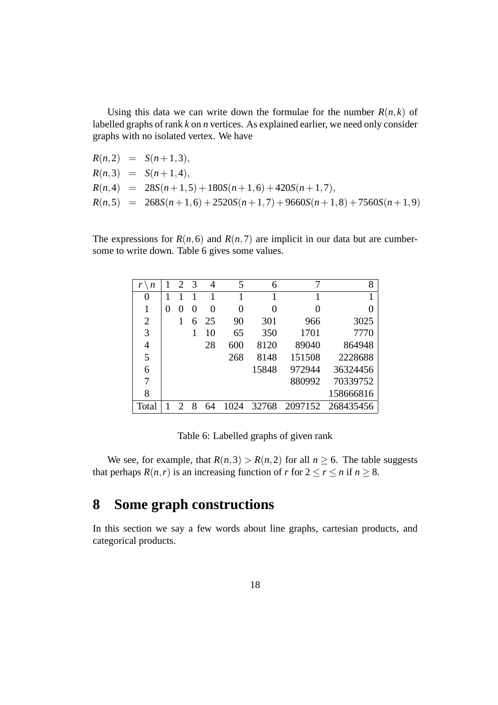Using this data we can write down the formulae for the number  $R(n, k)$  of labelled graphs of rank *k* on *n* vertices. As explained earlier, we need only consider graphs with no isolated vertex. We have

$$
R(n,2) = S(n+1,3),
$$
  
\n
$$
R(n,3) = S(n+1,4),
$$
  
\n
$$
R(n,4) = 28S(n+1,5) + 180S(n+1,6) + 420S(n+1,7),
$$
  
\n
$$
R(n,5) = 268S(n+1,6) + 2520S(n+1,7) + 9660S(n+1,8) + 7560S(n+1,9)
$$

The expressions for  $R(n,6)$  and  $R(n,7)$  are implicit in our data but are cumbersome to write down. Table 6 gives some values.

| n              |   | $\mathcal{D}_{\mathcal{L}}$ | 3 | 4      | 5        | 6        |                  | 8         |
|----------------|---|-----------------------------|---|--------|----------|----------|------------------|-----------|
| 0              |   |                             |   |        |          |          |                  |           |
|                | 0 |                             |   | $_{0}$ | $\theta$ | $\theta$ | $\left( \right)$ |           |
| $\overline{2}$ |   |                             | 6 | 25     | 90       | 301      | 966              | 3025      |
| 3              |   |                             |   | 10     | 65       | 350      | 1701             | 7770      |
| $\overline{4}$ |   |                             |   | 28     | 600      | 8120     | 89040            | 864948    |
| 5              |   |                             |   |        | 268      | 8148     | 151508           | 2228688   |
| 6              |   |                             |   |        |          | 15848    | 972944           | 36324456  |
| 7              |   |                             |   |        |          |          | 880992           | 70339752  |
| 8              |   |                             |   |        |          |          |                  | 158666816 |
| Total          |   |                             |   |        |          | 32768    | 2097152          | 268435456 |

Table 6: Labelled graphs of given rank

We see, for example, that  $R(n,3) > R(n,2)$  for all  $n \ge 6$ . The table suggests that perhaps  $R(n,r)$  is an increasing function of *r* for  $2 \le r \le n$  if  $n \ge 8$ .

# **8 Some graph constructions**

In this section we say a few words about line graphs, cartesian products, and categorical products.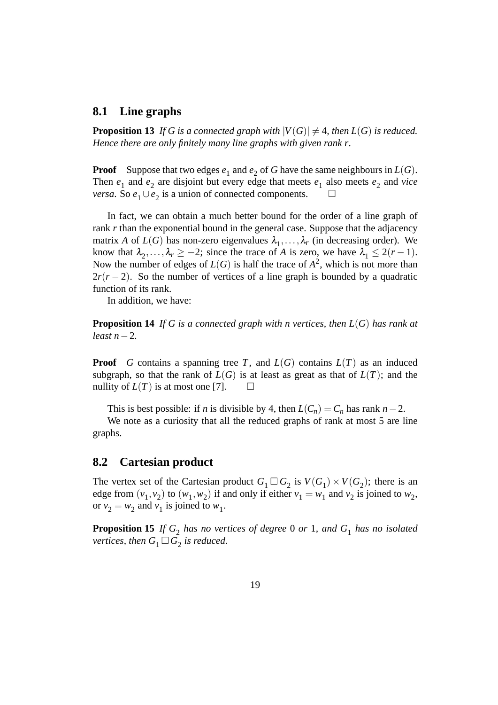#### **8.1 Line graphs**

**Proposition 13** If G is a connected graph with  $|V(G)| \neq 4$ , then  $L(G)$  is reduced. *Hence there are only finitely many line graphs with given rank r.*

**Proof** Suppose that two edges  $e_1$  and  $e_2$  of *G* have the same neighbours in  $L(G)$ . Then  $e_1$  and  $e_2$  are disjoint but every edge that meets  $e_1$  also meets  $e_2$  and *vice versa*. So  $e_1 \cup e_2$  is a union of connected components.  $\Box$ 

In fact, we can obtain a much better bound for the order of a line graph of rank *r* than the exponential bound in the general case. Suppose that the adjacency matrix *A* of  $L(G)$  has non-zero eigenvalues  $\lambda_1, \ldots, \lambda_r$  (in decreasing order). We know that  $\lambda_2, \ldots, \lambda_r \geq -2$ ; since the trace of *A* is zero, we have  $\lambda_1 \leq 2(r-1)$ . Now the number of edges of  $L(G)$  is half the trace of  $A^2$ , which is not more than  $2r(r-2)$ . So the number of vertices of a line graph is bounded by a quadratic function of its rank.

In addition, we have:

**Proposition 14** *If G is a connected graph with n vertices, then L*(*G*) *has rank at least n*−2*.*

**Proof** *G* contains a spanning tree *T*, and  $L(G)$  contains  $L(T)$  as an induced subgraph, so that the rank of  $L(G)$  is at least as great as that of  $L(T)$ ; and the nullity of  $L(T)$  is at most one [7].  $\Box$ 

This is best possible: if *n* is divisible by 4, then  $L(C_n) = C_n$  has rank  $n-2$ .

We note as a curiosity that all the reduced graphs of rank at most 5 are line graphs.

#### **8.2 Cartesian product**

The vertex set of the Cartesian product  $G_1 \square G_2$  is  $V(G_1) \times V(G_2)$ ; there is an edge from  $(v_1, v_2)$  to  $(w_1, w_2)$  if and only if either  $v_1 = w_1$  and  $v_2$  is joined to  $w_2$ , or  $v_2 = w_2$  and  $v_1$  is joined to  $w_1$ .

**Proposition 15** If  $G_2$  has no vertices of degree 0 or 1, and  $G_1$  has no isolated *vertices, then*  $G_1 \square \tilde{G_2}$  *is reduced.*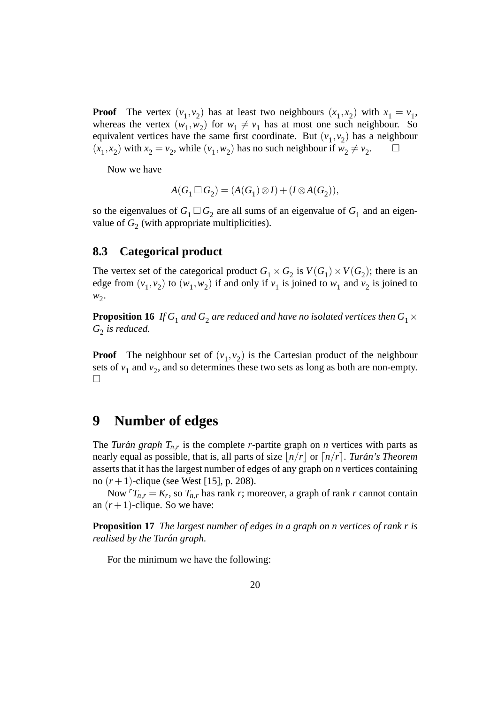**Proof** The vertex  $(v_1, v_2)$  has at least two neighbours  $(x_1, x_2)$  with  $x_1 = v_1$ , whereas the vertex  $(w_1, w_2)$  for  $w_1 \neq v_1$  has at most one such neighbour. So equivalent vertices have the same first coordinate. But  $(v_1, v_2)$  has a neighbour  $(x_1, x_2)$  with  $x_2 = v_2$ , while  $(v_1, w_2)$  has no such neighbour if  $w_2 \neq v_2$ .

Now we have

$$
A(G_1 \square G_2) = (A(G_1) \otimes I) + (I \otimes A(G_2)),
$$

so the eigenvalues of  $G_1 \square G_2$  are all sums of an eigenvalue of  $G_1$  and an eigenvalue of  $G_2$  (with appropriate multiplicities).

#### **8.3 Categorical product**

The vertex set of the categorical product  $G_1 \times G_2$  is  $V(G_1) \times V(G_2)$ ; there is an edge from  $(v_1, v_2)$  to  $(w_1, w_2)$  if and only if  $v_1$  is joined to  $w_1$  and  $v_2$  is joined to  $w_2$ .

**Proposition 16** If  $G_1$  and  $G_2$  are reduced and have no isolated vertices then  $G_1\times$ *G*2 *is reduced.*

**Proof** The neighbour set of  $(v_1, v_2)$  is the Cartesian product of the neighbour sets of  $v_1$  and  $v_2$ , and so determines these two sets as long as both are non-empty.  $\Box$ 

### **9 Number of edges**

The *Turán graph*  $T_{n,r}$  is the complete *r*-partite graph on *n* vertices with parts as nearly equal as possible, that is, all parts of size  $\frac{1}{n}}r$  or  $\frac{1}{n}}r$ . *Turán's Theorem* asserts that it has the largest number of edges of any graph on *n* vertices containing no  $(r + 1)$ -clique (see West [15], p. 208).

Now  ${}^{r}T_{n,r} = K_r$ , so  $T_{n,r}$  has rank *r*; moreover, a graph of rank *r* cannot contain an  $(r+1)$ -clique. So we have:

**Proposition 17** *The largest number of edges in a graph on n vertices of rank r is realised by the Turán graph.* 

For the minimum we have the following: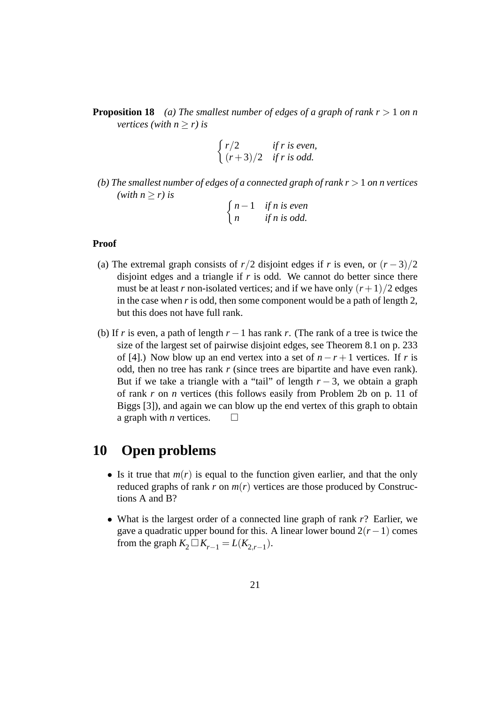**Proposition 18** *(a) The smallest number of edges of a graph of rank r* > 1 *on n vertices (with*  $n > r$ *) is* 

$$
\begin{cases}\nr/2 & \text{if } r \text{ is even,} \\
(r+3)/2 & \text{if } r \text{ is odd.}\n\end{cases}
$$

*(b) The smallest number of edges of a connected graph of rank r* > 1 *on n vertices* (*with*  $n \ge r$ *)* is 

$$
\begin{cases} n-1 & \text{if } n \text{ is even} \\ n & \text{if } n \text{ is odd.} \end{cases}
$$

#### **Proof**

- (a) The extremal graph consists of  $r/2$  disjoint edges if *r* is even, or  $(r-3)/2$ disjoint edges and a triangle if  $r$  is odd. We cannot do better since there must be at least *r* non-isolated vertices; and if we have only  $(r+1)/2$  edges in the case when *r* is odd, then some component would be a path of length 2, but this does not have full rank.
- (b) If *r* is even, a path of length  $r 1$  has rank *r*. (The rank of a tree is twice the size of the largest set of pairwise disjoint edges, see Theorem 8.1 on p. 233 of [4].) Now blow up an end vertex into a set of  $n - r + 1$  vertices. If r is odd, then no tree has rank *r* (since trees are bipartite and have even rank). But if we take a triangle with a "tail" of length  $r - 3$ , we obtain a graph of rank *r* on *n* vertices (this follows easily from Problem 2b on p. 11 of Biggs [3]), and again we can blow up the end vertex of this graph to obtain a graph with *n* vertices.  $\Box$

### **10 Open problems**

- Is it true that  $m(r)$  is equal to the function given earlier, and that the only reduced graphs of rank  $r$  on  $m(r)$  vertices are those produced by Constructions A and B?
- What is the largest order of a connected line graph of rank *r*? Earlier, we gave a quadratic upper bound for this. A linear lower bound 2(*r*−1) comes from the graph  $K_2 \square K_{r-1} = L(K_{2,r-1})$ .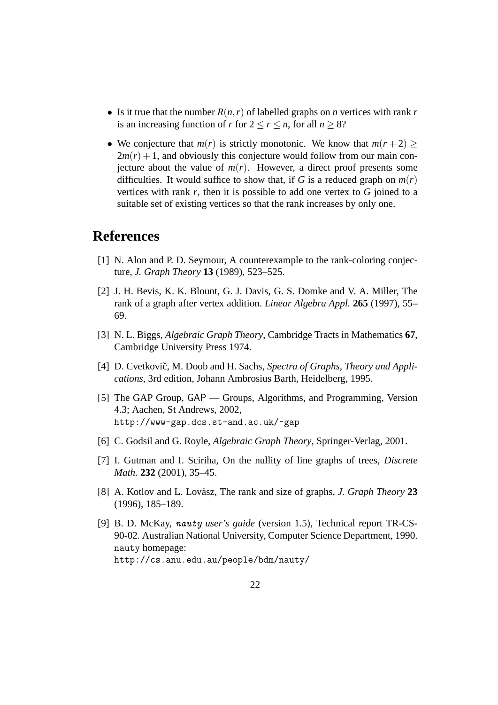- Is it true that the number  $R(n, r)$  of labelled graphs on *n* vertices with rank *r* is an increasing function of *r* for  $2 \le r \le n$ , for all  $n > 8$ ?
- We conjecture that  $m(r)$  is strictly monotonic. We know that  $m(r+2)$  $2m(r) + 1$ , and obviously this conjecture would follow from our main conjecture about the value of  $m(r)$ . However, a direct proof presents some difficulties. It would suffice to show that, if *G* is a reduced graph on  $m(r)$ vertices with rank *r*, then it is possible to add one vertex to *G* joined to a suitable set of existing vertices so that the rank increases by only one.

## **References**

- [1] N. Alon and P. D. Seymour, A counterexample to the rank-coloring conjecture, *J. Graph Theory* **13** (1989), 523–525.
- [2] J. H. Bevis, K. K. Blount, G. J. Davis, G. S. Domke and V. A. Miller, The rank of a graph after vertex addition. *Linear Algebra Appl.* **265** (1997), 55– 69.
- [3] N. L. Biggs, *Algebraic Graph Theory*, Cambridge Tracts in Mathematics **67**, Cambridge University Press 1974.
- [4] D. Cvetkovič, M. Doob and H. Sachs, *Spectra of Graphs, Theory and Applications*, 3rd edition, Johann Ambrosius Barth, Heidelberg, 1995.
- [5] The GAP Group, GAP Groups, Algorithms, and Programming, Version 4.3; Aachen, St Andrews, 2002, http://www-gap.dcs.st-and.ac.uk/~gap
- [6] C. Godsil and G. Royle, *Algebraic Graph Theory*, Springer-Verlag, 2001.
- [7] I. Gutman and I. Sciriha, On the nullity of line graphs of trees, *Discrete Math.* **232** (2001), 35–45.
- [8] A. Kotlov and L. Lovász, The rank and size of graphs, *J. Graph Theory* 23 (1996), 185–189.
- [9] B. D. McKay, nauty *user's guide* (version 1.5), Technical report TR-CS-90-02. Australian National University, Computer Science Department, 1990. nauty homepage: http://cs.anu.edu.au/people/bdm/nauty/